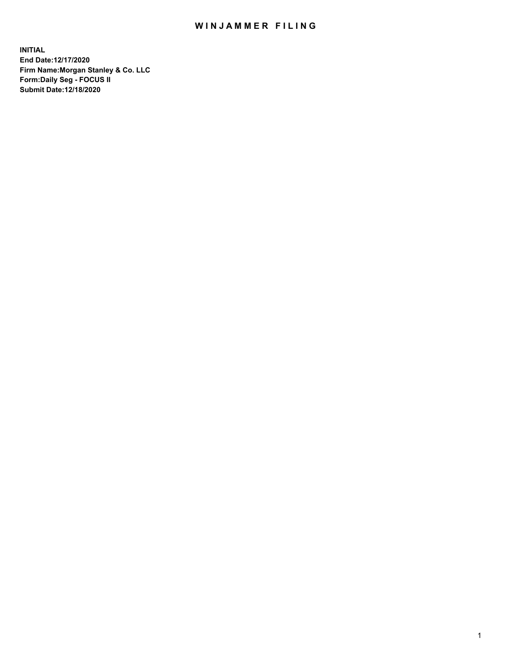## WIN JAMMER FILING

**INITIAL End Date:12/17/2020 Firm Name:Morgan Stanley & Co. LLC Form:Daily Seg - FOCUS II Submit Date:12/18/2020**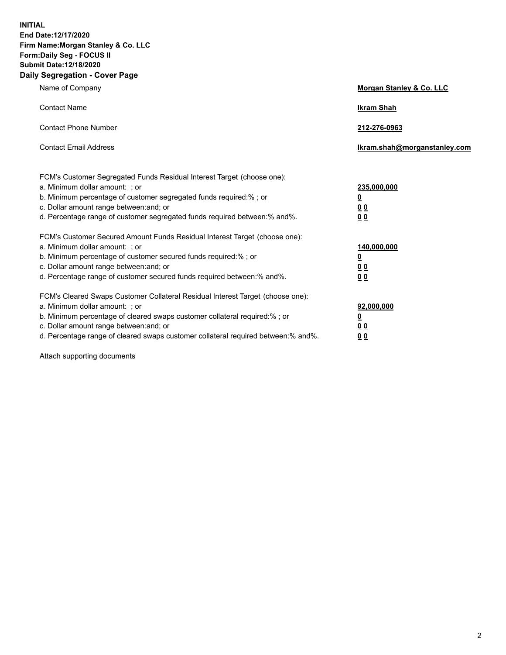**INITIAL End Date:12/17/2020 Firm Name:Morgan Stanley & Co. LLC Form:Daily Seg - FOCUS II Submit Date:12/18/2020 Daily Segregation - Cover Page**

| Name of Company                                                                                                                                                                                                                                                                                                                | Morgan Stanley & Co. LLC                               |
|--------------------------------------------------------------------------------------------------------------------------------------------------------------------------------------------------------------------------------------------------------------------------------------------------------------------------------|--------------------------------------------------------|
| <b>Contact Name</b>                                                                                                                                                                                                                                                                                                            | <b>Ikram Shah</b>                                      |
| <b>Contact Phone Number</b>                                                                                                                                                                                                                                                                                                    | 212-276-0963                                           |
| <b>Contact Email Address</b>                                                                                                                                                                                                                                                                                                   | Ikram.shah@morganstanley.com                           |
| FCM's Customer Segregated Funds Residual Interest Target (choose one):<br>a. Minimum dollar amount: ; or<br>b. Minimum percentage of customer segregated funds required:% ; or<br>c. Dollar amount range between: and; or<br>d. Percentage range of customer segregated funds required between: % and %.                       | 235,000,000<br><u>0</u><br>00<br>0 <sub>0</sub>        |
| FCM's Customer Secured Amount Funds Residual Interest Target (choose one):<br>a. Minimum dollar amount: ; or<br>b. Minimum percentage of customer secured funds required:%; or<br>c. Dollar amount range between: and; or<br>d. Percentage range of customer secured funds required between:% and%.                            | 140,000,000<br><u>0</u><br><u>00</u><br>0 <sub>0</sub> |
| FCM's Cleared Swaps Customer Collateral Residual Interest Target (choose one):<br>a. Minimum dollar amount: ; or<br>b. Minimum percentage of cleared swaps customer collateral required:% ; or<br>c. Dollar amount range between: and; or<br>d. Percentage range of cleared swaps customer collateral required between:% and%. | 92,000,000<br><u>0</u><br><u>00</u><br>0 <sub>0</sub>  |

Attach supporting documents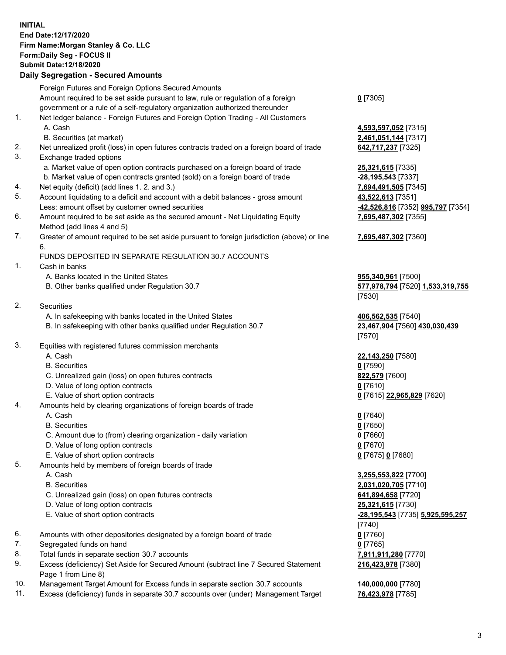## **INITIAL End Date:12/17/2020 Firm Name:Morgan Stanley & Co. LLC Form:Daily Seg - FOCUS II Submit Date:12/18/2020**

## **Daily Segregation - Secured Amounts**

Foreign Futures and Foreign Options Secured Amounts Amount required to be set aside pursuant to law, rule or regulation of a foreign government or a rule of a self-regulatory organization authorized thereunder 1. Net ledger balance - Foreign Futures and Foreign Option Trading - All Customers A. Cash **4,593,597,052** [7315] B. Securities (at market) **2,461,051,144** [7317] 2. Net unrealized profit (loss) in open futures contracts traded on a foreign board of trade **642,717,237** [7325] 3. Exchange traded options a. Market value of open option contracts purchased on a foreign board of trade **25,321,615** [7335] b. Market value of open contracts granted (sold) on a foreign board of trade **-28,195,543** [7337] 4. Net equity (deficit) (add lines 1. 2. and 3.) **7,694,491,505** [7345] 5. Account liquidating to a deficit and account with a debit balances - gross amount **43,522,613** [7351] Less: amount offset by customer owned securities **-42,526,816** [7352] **995,797** [7354] 6. Amount required to be set aside as the secured amount - Net Liquidating Equity Method (add lines 4 and 5) 7. Greater of amount required to be set aside pursuant to foreign jurisdiction (above) or line 6. FUNDS DEPOSITED IN SEPARATE REGULATION 30.7 ACCOUNTS 1. Cash in banks A. Banks located in the United States **955,340,961** [7500] B. Other banks qualified under Regulation 30.7 **577,978,794** [7520] **1,533,319,755** 2. Securities A. In safekeeping with banks located in the United States **406,562,535** [7540] B. In safekeeping with other banks qualified under Regulation 30.7 **23,467,904** [7560] **430,030,439** 3. Equities with registered futures commission merchants A. Cash **22,143,250** [7580] B. Securities **0** [7590] C. Unrealized gain (loss) on open futures contracts **822,579** [7600] D. Value of long option contracts **0** [7610] E. Value of short option contracts **0** [7615] **22,965,829** [7620] 4. Amounts held by clearing organizations of foreign boards of trade A. Cash **0** [7640] B. Securities **0** [7650] C. Amount due to (from) clearing organization - daily variation **0** [7660] D. Value of long option contracts **0** [7670] E. Value of short option contracts **0** [7675] **0** [7680] 5. Amounts held by members of foreign boards of trade A. Cash **3,255,553,822** [7700] B. Securities **2,031,020,705** [7710] C. Unrealized gain (loss) on open futures contracts **641,894,658** [7720] D. Value of long option contracts **25,321,615** [7730] E. Value of short option contracts **-28,195,543** [7735] **5,925,595,257** 6. Amounts with other depositories designated by a foreign board of trade **0** [7760] 7. Segregated funds on hand **0** [7765] 8. Total funds in separate section 30.7 accounts **7,911,911,280** [7770] 9. Excess (deficiency) Set Aside for Secured Amount (subtract line 7 Secured Statement Page 1 from Line 8)

- 10. Management Target Amount for Excess funds in separate section 30.7 accounts **140,000,000** [7780]
- 11. Excess (deficiency) funds in separate 30.7 accounts over (under) Management Target **76,423,978** [7785]

**0** [7305]

**7,695,487,302** [7355]

## **7,695,487,302** [7360]

[7530]

[7570]

[7740] **216,423,978** [7380]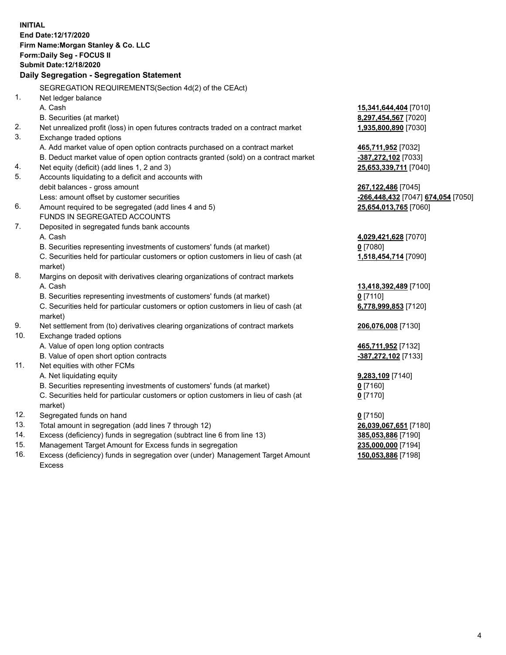|          | <b>INITIAL</b>                                                                                 |                                    |
|----------|------------------------------------------------------------------------------------------------|------------------------------------|
|          | End Date:12/17/2020                                                                            |                                    |
|          | Firm Name: Morgan Stanley & Co. LLC                                                            |                                    |
|          | Form: Daily Seg - FOCUS II                                                                     |                                    |
|          | <b>Submit Date:12/18/2020</b>                                                                  |                                    |
|          | Daily Segregation - Segregation Statement                                                      |                                    |
|          | SEGREGATION REQUIREMENTS(Section 4d(2) of the CEAct)                                           |                                    |
| 1.       |                                                                                                |                                    |
|          | Net ledger balance                                                                             |                                    |
|          | A. Cash                                                                                        | 15,341,644,404 [7010]              |
|          | B. Securities (at market)                                                                      | 8,297,454,567 [7020]               |
| 2.<br>3. | Net unrealized profit (loss) in open futures contracts traded on a contract market             | 1,935,800,890 [7030]               |
|          | Exchange traded options                                                                        |                                    |
|          | A. Add market value of open option contracts purchased on a contract market                    | 465,711,952 [7032]                 |
|          | B. Deduct market value of open option contracts granted (sold) on a contract market            | -387,272,102 [7033]                |
| 4.<br>5. | Net equity (deficit) (add lines 1, 2 and 3)                                                    | 25,653,339,711 [7040]              |
|          | Accounts liquidating to a deficit and accounts with                                            |                                    |
|          | debit balances - gross amount                                                                  | 267,122,486 [7045]                 |
|          | Less: amount offset by customer securities                                                     | -266,448,432 [7047] 674,054 [7050] |
| 6.       | Amount required to be segregated (add lines 4 and 5)                                           | 25,654,013,765 [7060]              |
|          | FUNDS IN SEGREGATED ACCOUNTS                                                                   |                                    |
| 7.       | Deposited in segregated funds bank accounts                                                    |                                    |
|          | A. Cash                                                                                        | 4,029,421,628 [7070]               |
|          | B. Securities representing investments of customers' funds (at market)                         | $0$ [7080]                         |
|          | C. Securities held for particular customers or option customers in lieu of cash (at            | 1,518,454,714 [7090]               |
| 8.       | market)                                                                                        |                                    |
|          | Margins on deposit with derivatives clearing organizations of contract markets                 |                                    |
|          | A. Cash                                                                                        | 13,418,392,489 [7100]              |
|          | B. Securities representing investments of customers' funds (at market)                         | $0$ [7110]                         |
|          | C. Securities held for particular customers or option customers in lieu of cash (at<br>market) | 6,778,999,853 [7120]               |
| 9.       | Net settlement from (to) derivatives clearing organizations of contract markets                | 206,076,008 [7130]                 |
| 10.      | Exchange traded options                                                                        |                                    |
|          | A. Value of open long option contracts                                                         | 465,711,952 [7132]                 |
|          | B. Value of open short option contracts                                                        | -387,272,102 [7133]                |
| 11.      | Net equities with other FCMs                                                                   |                                    |
|          | A. Net liquidating equity                                                                      | 9,283,109 [7140]                   |
|          | B. Securities representing investments of customers' funds (at market)                         | $0$ [7160]                         |
|          | C. Securities held for particular customers or option customers in lieu of cash (at            | $0$ [7170]                         |
|          | market)                                                                                        |                                    |
| 12.      | Segregated funds on hand                                                                       | $0$ [7150]                         |
| 13.      | Total amount in segregation (add lines 7 through 12)                                           | 26,039,067,651 [7180]              |
| 14.      | Excess (deficiency) funds in segregation (subtract line 6 from line 13)                        | 385,053,886 [7190]                 |
| 15.      | Management Target Amount for Excess funds in segregation                                       | 235,000,000 [7194]                 |
| 16.      | Excess (deficiency) funds in segregation over (under) Management Target Amount                 | 150,053,886 [7198]                 |

16. Excess (deficiency) funds in segregation over (under) Management Target Amount Excess